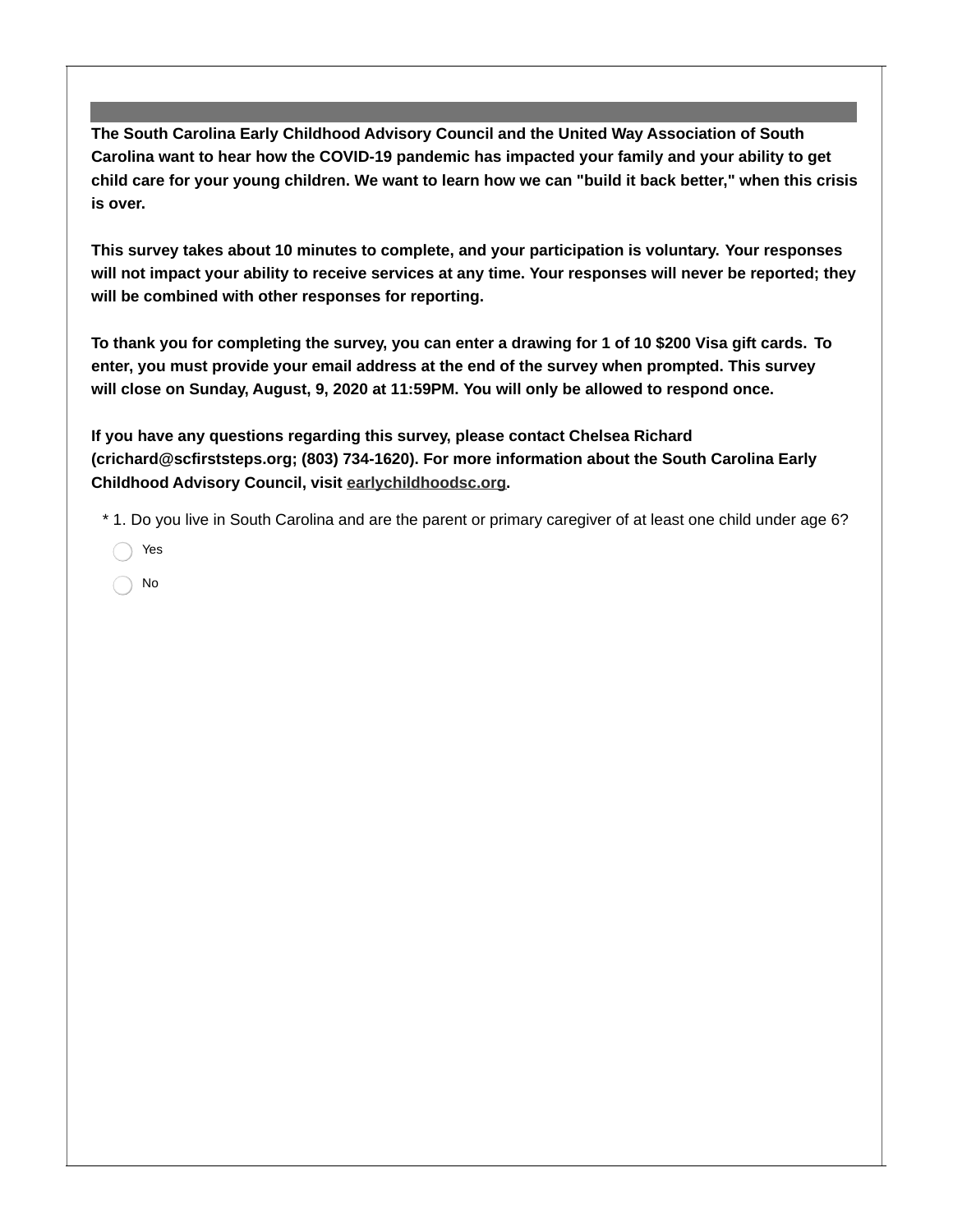**The South Carolina Early Childhood Advisory Council and the United Way Association of South Carolina want to hear how the COVID-19 pandemic has impacted your family and your ability to get** child care for your young children. We want to learn how we can "build it back better," when this crisis **is over.**

**This survey takes about 10 minutes to complete, and your participation is voluntary. Your responses** will not impact your ability to receive services at any time. Your responses will never be reported; they **will be combined with other responses for reporting.**

To thank you for completing the survey, you can enter a drawing for 1 of 10 \$200 Visa gift cards. To **enter, you must provide your email address at the end of the survey when prompted. This survey will close on Sunday, August, 9, 2020 at 11:59PM. You will only be allowed to respond once.**

**If you have any questions regarding this survey, please contact Chelsea Richard (crichard@scfirststeps.org; (803) 734-1620). For more information about the South Carolina Early Childhood Advisory Council, visit [earlychildhoodsc.org](http://earlychildhoodsc.org).**

\* 1. Do you live in South Carolina and are the parent or primary caregiver of at least one child under age 6?

- Yes
- No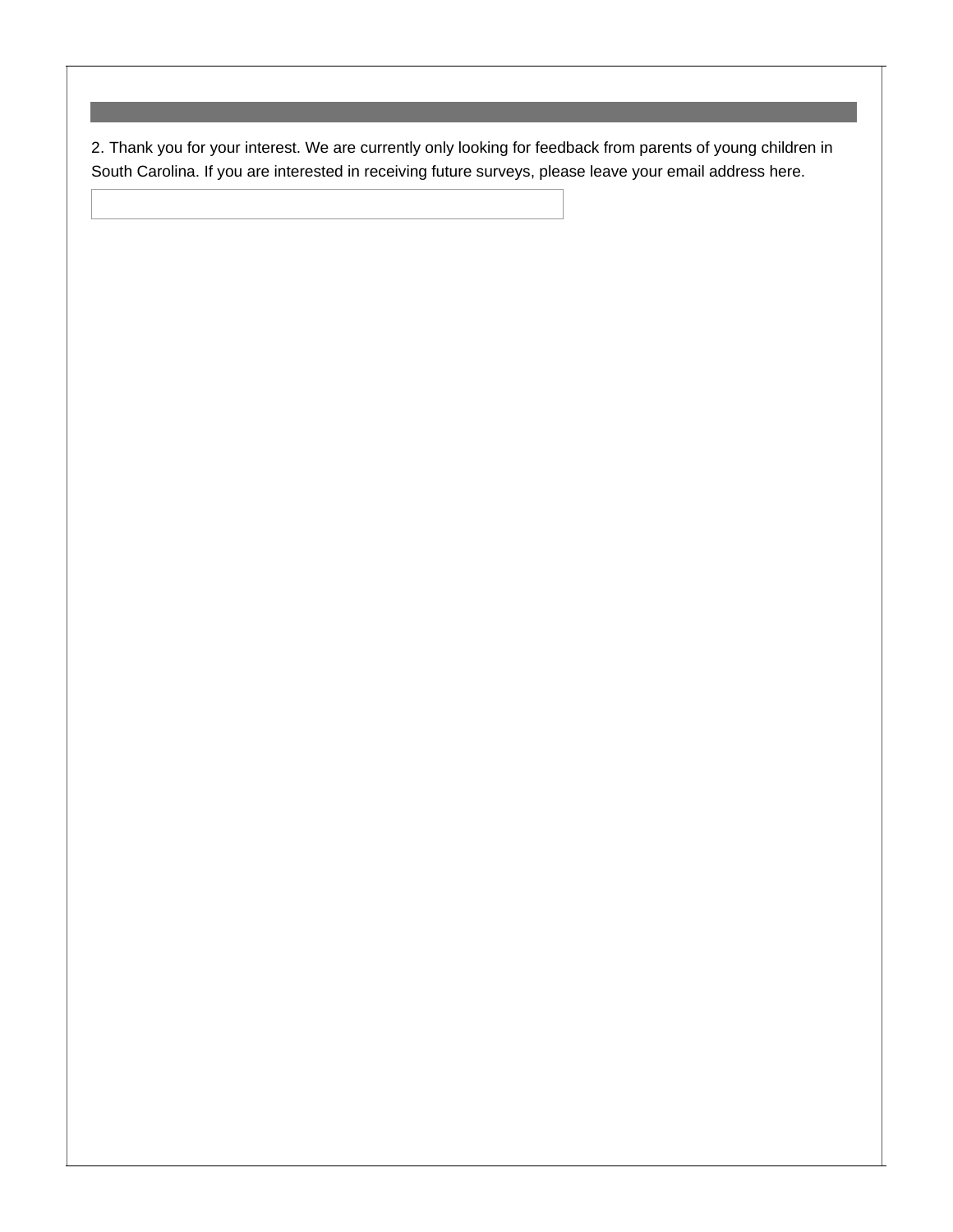2. Thank you for your interest. We are currently only looking for feedback from parents of young children in South Carolina. If you are interested in receiving future surveys, please leave your email address here.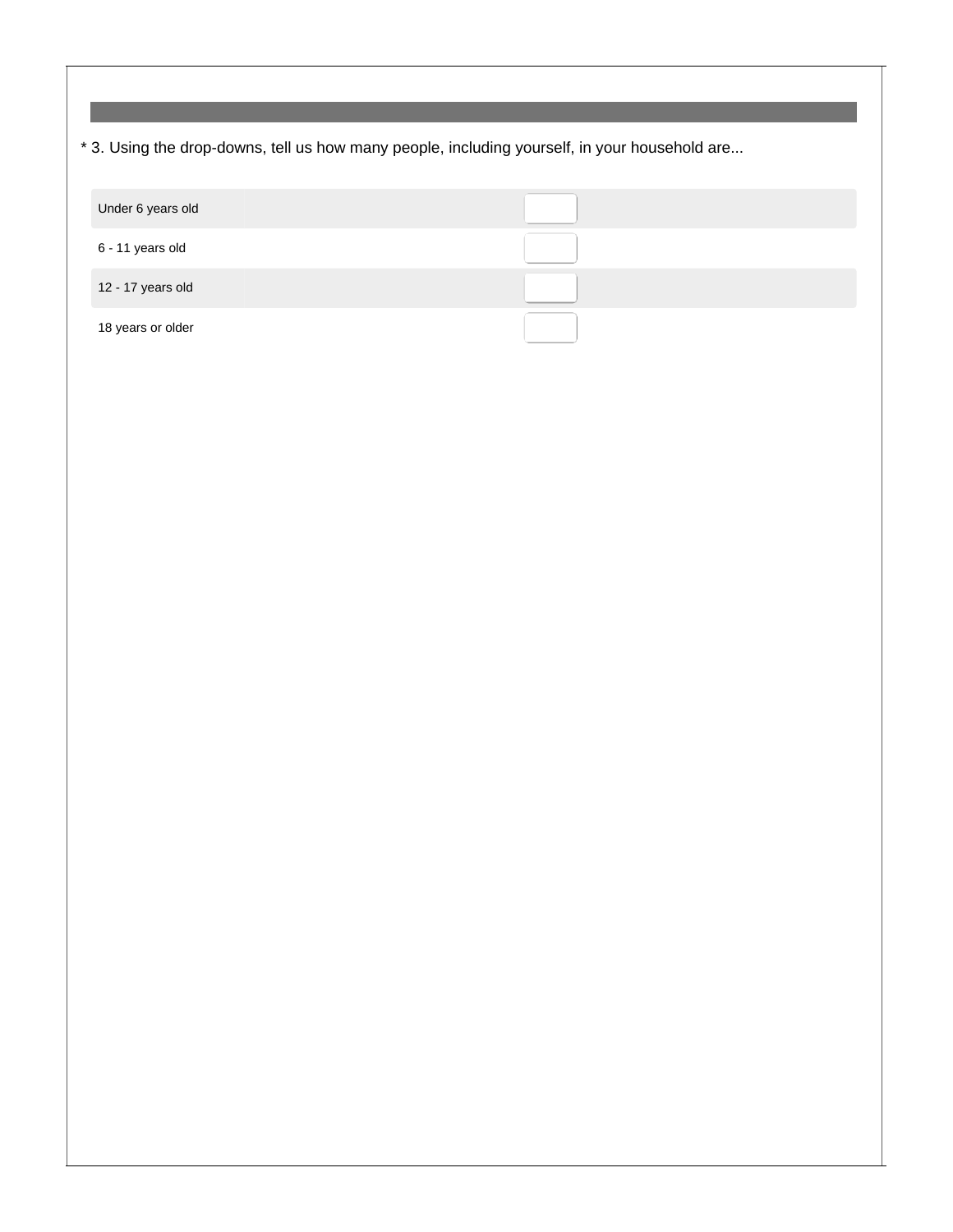\* 3. Using the drop-downs, tell us how many people, including yourself, in your household are...

| Under 6 years old |  |
|-------------------|--|
| 6 - 11 years old  |  |
| 12 - 17 years old |  |
| 18 years or older |  |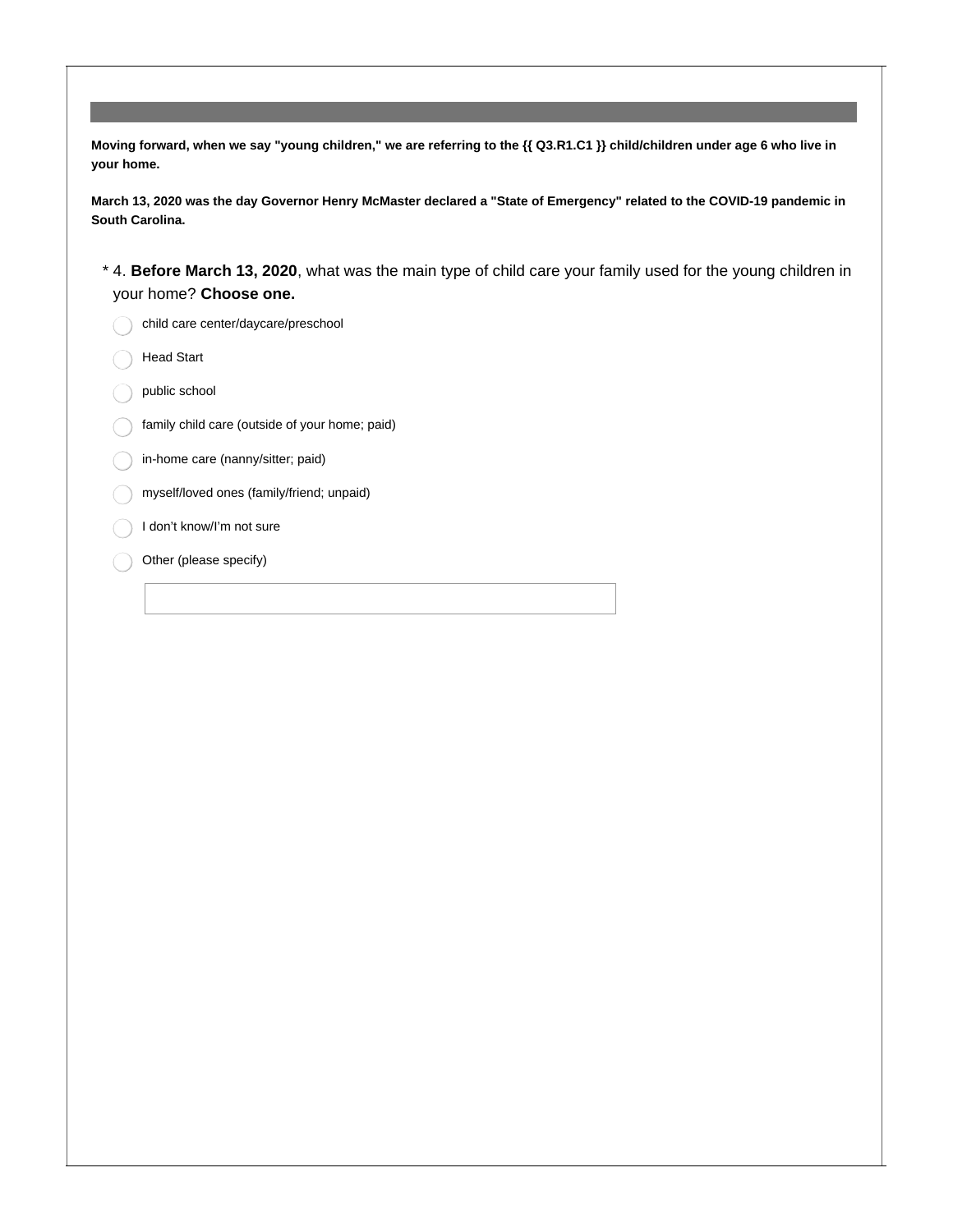Moving forward, when we say "young children," we are referring to the {{ Q3.R1.C1 }} child/children under age 6 who live in **your home.**

March 13, 2020 was the day Governor Henry McMaster declared a "State of Emergency" related to the COVID-19 pandemic in **South Carolina.**

- 4. **Before March 13, 2020**, what was the main type of child care your family used for the young children in \* your home? **Choose one.**
	- child care center/daycare/preschool
	- Head Start
	- public school
	- family child care (outside of your home; paid)
	- in-home care (nanny/sitter; paid)
	- myself/loved ones (family/friend; unpaid)
	- I don't know/I'm not sure
	- Other (please specify)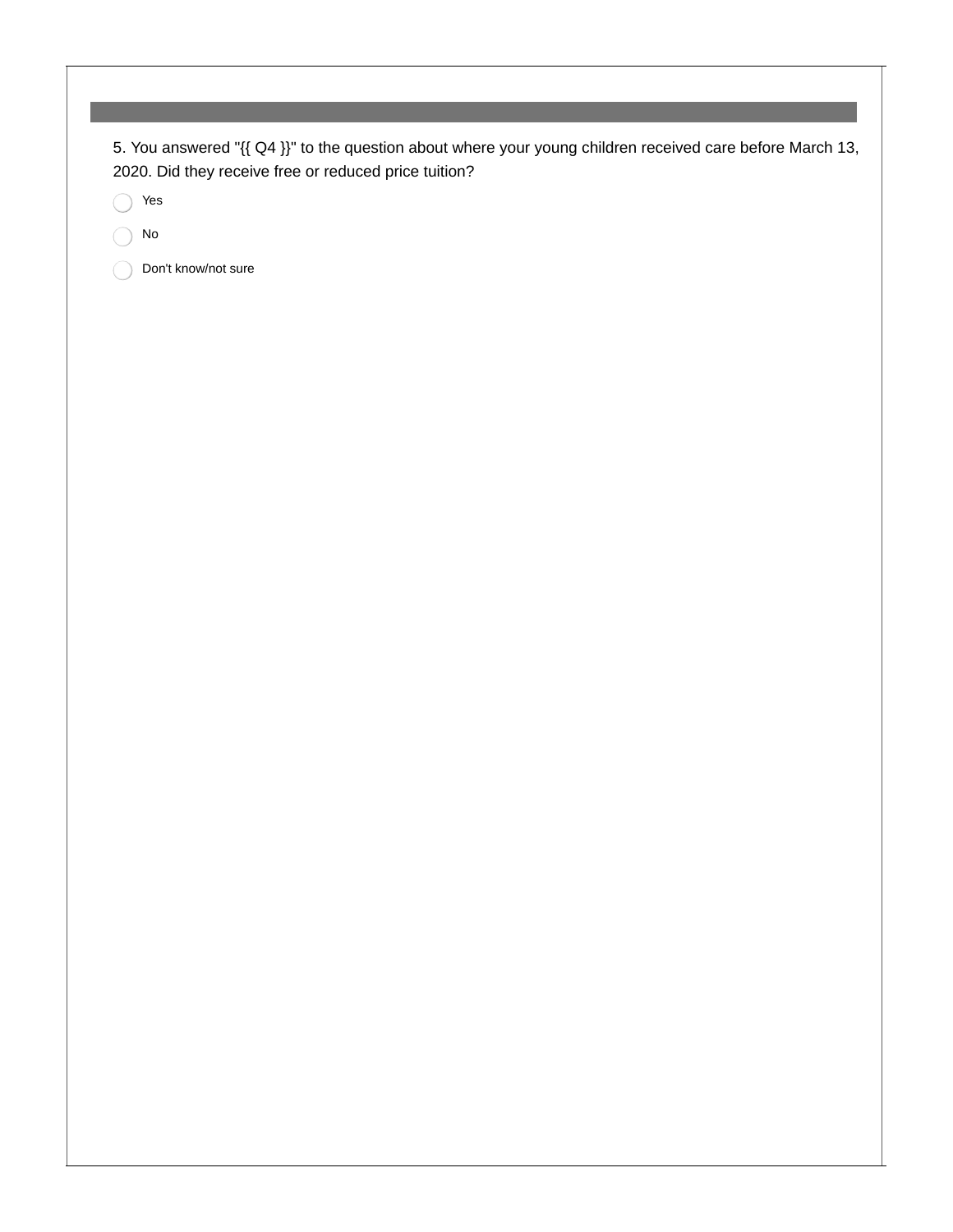5. You answered "{{ Q4 }}" to the question about where your young children received care before March 13, 2020. Did they receive free or reduced price tuition?

Yes ∩

No  $\bigcap$ 

Don't know/not sure $\bigcap$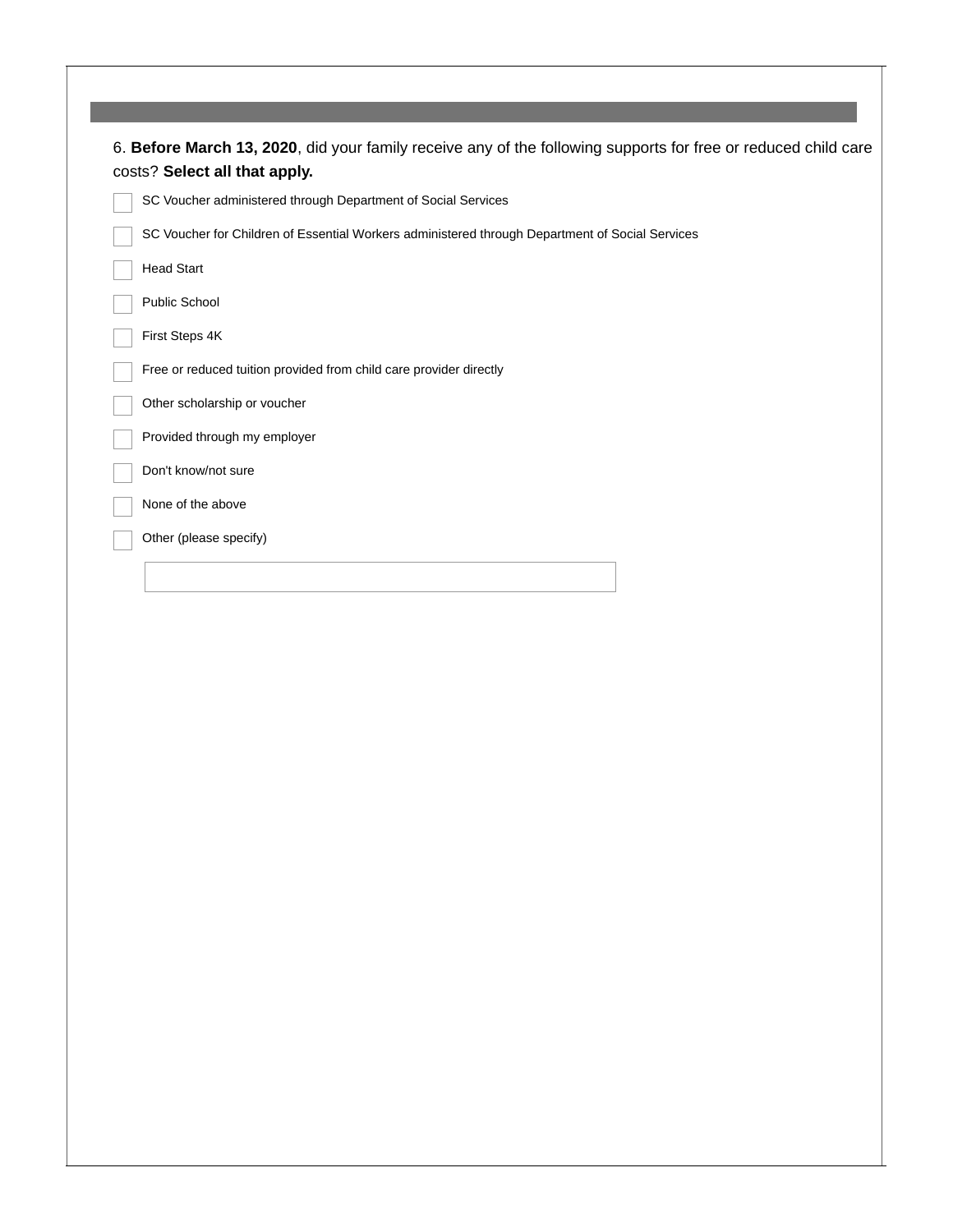| 6. Before March 13, 2020, did your family receive any of the following supports for free or reduced child care<br>costs? Select all that apply. |
|-------------------------------------------------------------------------------------------------------------------------------------------------|
| SC Voucher administered through Department of Social Services                                                                                   |
| SC Voucher for Children of Essential Workers administered through Department of Social Services                                                 |
| <b>Head Start</b>                                                                                                                               |
| Public School                                                                                                                                   |
| First Steps 4K                                                                                                                                  |
| Free or reduced tuition provided from child care provider directly                                                                              |
| Other scholarship or voucher                                                                                                                    |
| Provided through my employer                                                                                                                    |
| Don't know/not sure                                                                                                                             |
| None of the above                                                                                                                               |
| Other (please specify)                                                                                                                          |
|                                                                                                                                                 |
|                                                                                                                                                 |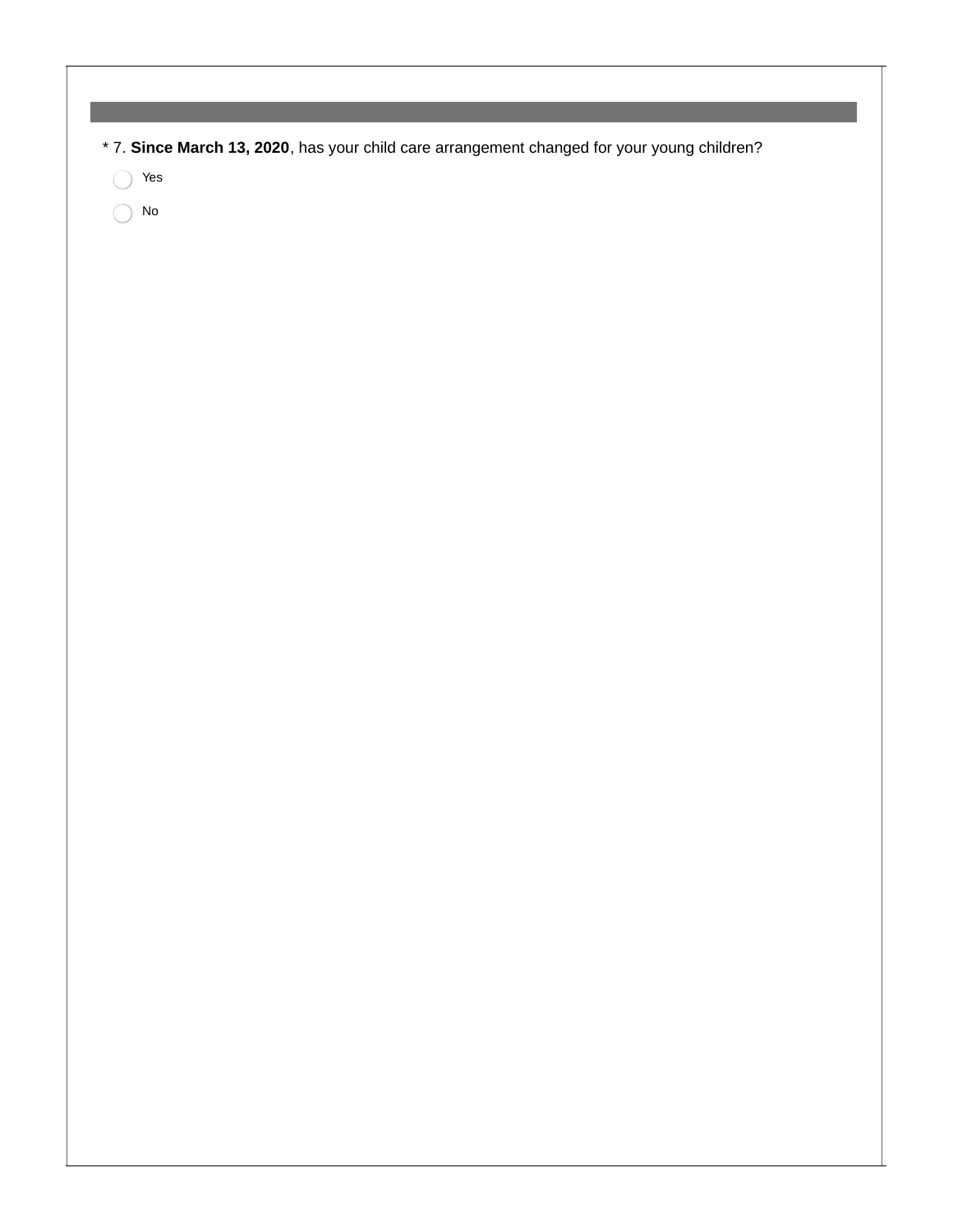| $\operatorname{\mathsf{Yes}}$ | * 7. Since March 13, 2020, has your child care arrangement changed for your young children? |  |  |
|-------------------------------|---------------------------------------------------------------------------------------------|--|--|
| ${\sf No}$                    |                                                                                             |  |  |
|                               |                                                                                             |  |  |
|                               |                                                                                             |  |  |
|                               |                                                                                             |  |  |
|                               |                                                                                             |  |  |
|                               |                                                                                             |  |  |
|                               |                                                                                             |  |  |
|                               |                                                                                             |  |  |
|                               |                                                                                             |  |  |
|                               |                                                                                             |  |  |
|                               |                                                                                             |  |  |
|                               |                                                                                             |  |  |
|                               |                                                                                             |  |  |
|                               |                                                                                             |  |  |
|                               |                                                                                             |  |  |
|                               |                                                                                             |  |  |
|                               |                                                                                             |  |  |
|                               |                                                                                             |  |  |
|                               |                                                                                             |  |  |
|                               |                                                                                             |  |  |
|                               |                                                                                             |  |  |
|                               |                                                                                             |  |  |
|                               |                                                                                             |  |  |
|                               |                                                                                             |  |  |
|                               |                                                                                             |  |  |

 $\Gamma$ 

Τ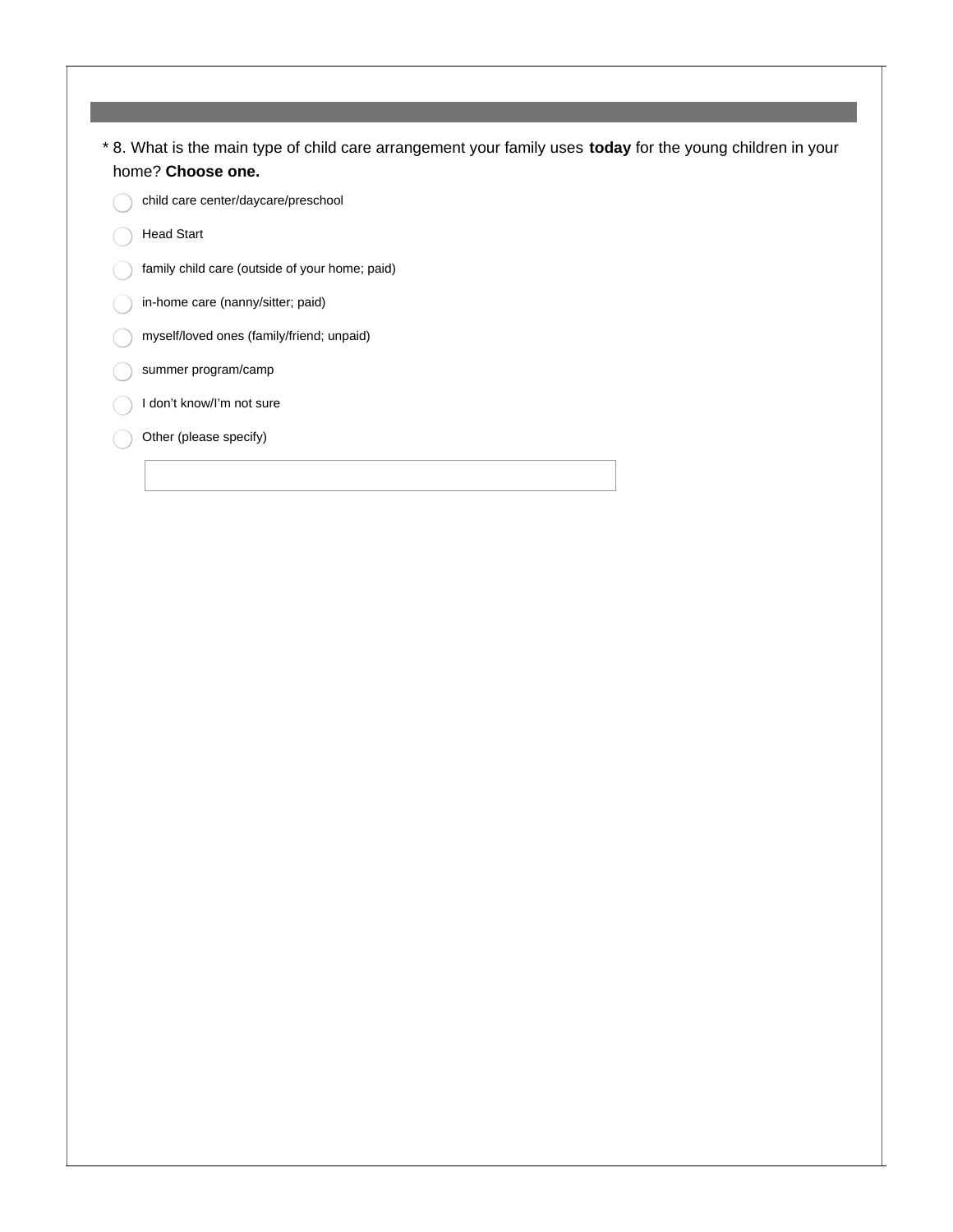8. What is the main type of child care arrangement your family uses **today** for the young children in your \* home? **Choose one.**

child care center/daycare/preschool ◯

Head Start ∩

- family child care (outside of your home; paid) ∩
- in-home care (nanny/sitter; paid)
- myself/loved ones (family/friend; unpaid)
- summer program/camp
- I don't know/I'm not sure
- Other (please specify)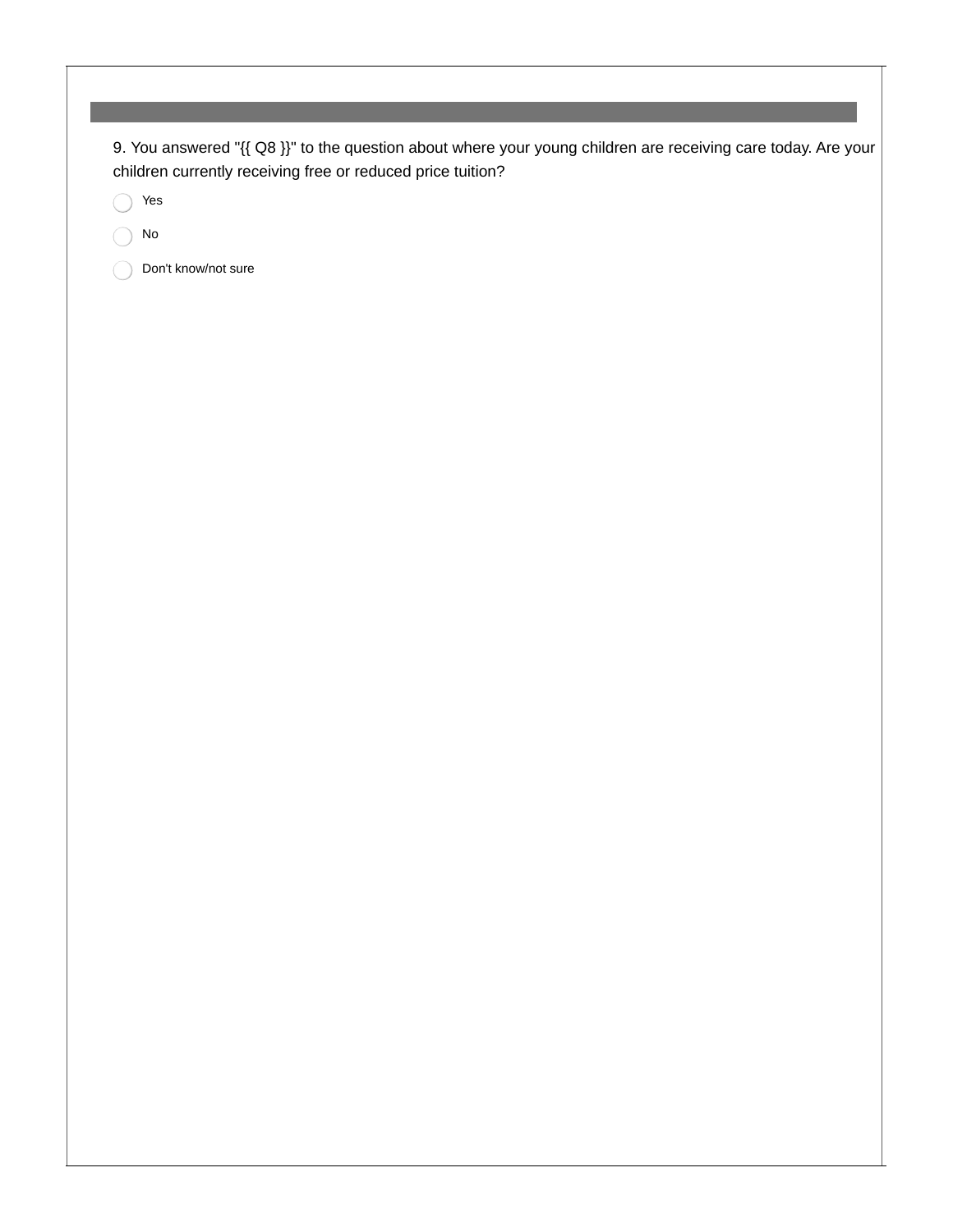9. You answered "{{ Q8 }}" to the question about where your young children are receiving care today. Are your children currently receiving free or reduced price tuition?

Yes ∩

No ◯

Don't know/not sure∩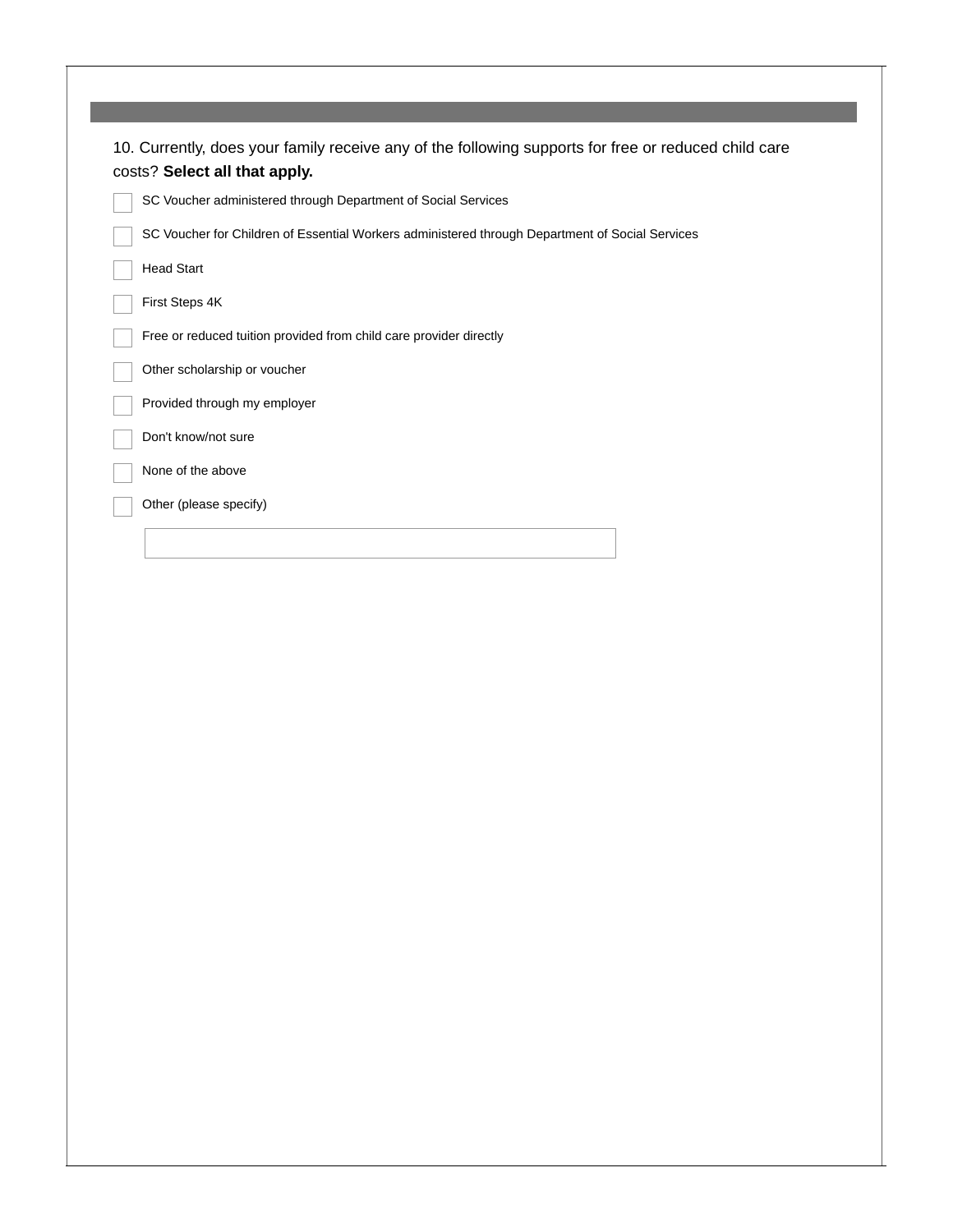| 10. Currently, does your family receive any of the following supports for free or reduced child care<br>costs? Select all that apply. |
|---------------------------------------------------------------------------------------------------------------------------------------|
| SC Voucher administered through Department of Social Services                                                                         |
| SC Voucher for Children of Essential Workers administered through Department of Social Services                                       |
| <b>Head Start</b>                                                                                                                     |
| First Steps 4K                                                                                                                        |
| Free or reduced tuition provided from child care provider directly                                                                    |
| Other scholarship or voucher                                                                                                          |
| Provided through my employer                                                                                                          |
| Don't know/not sure                                                                                                                   |
| None of the above                                                                                                                     |
| Other (please specify)                                                                                                                |
|                                                                                                                                       |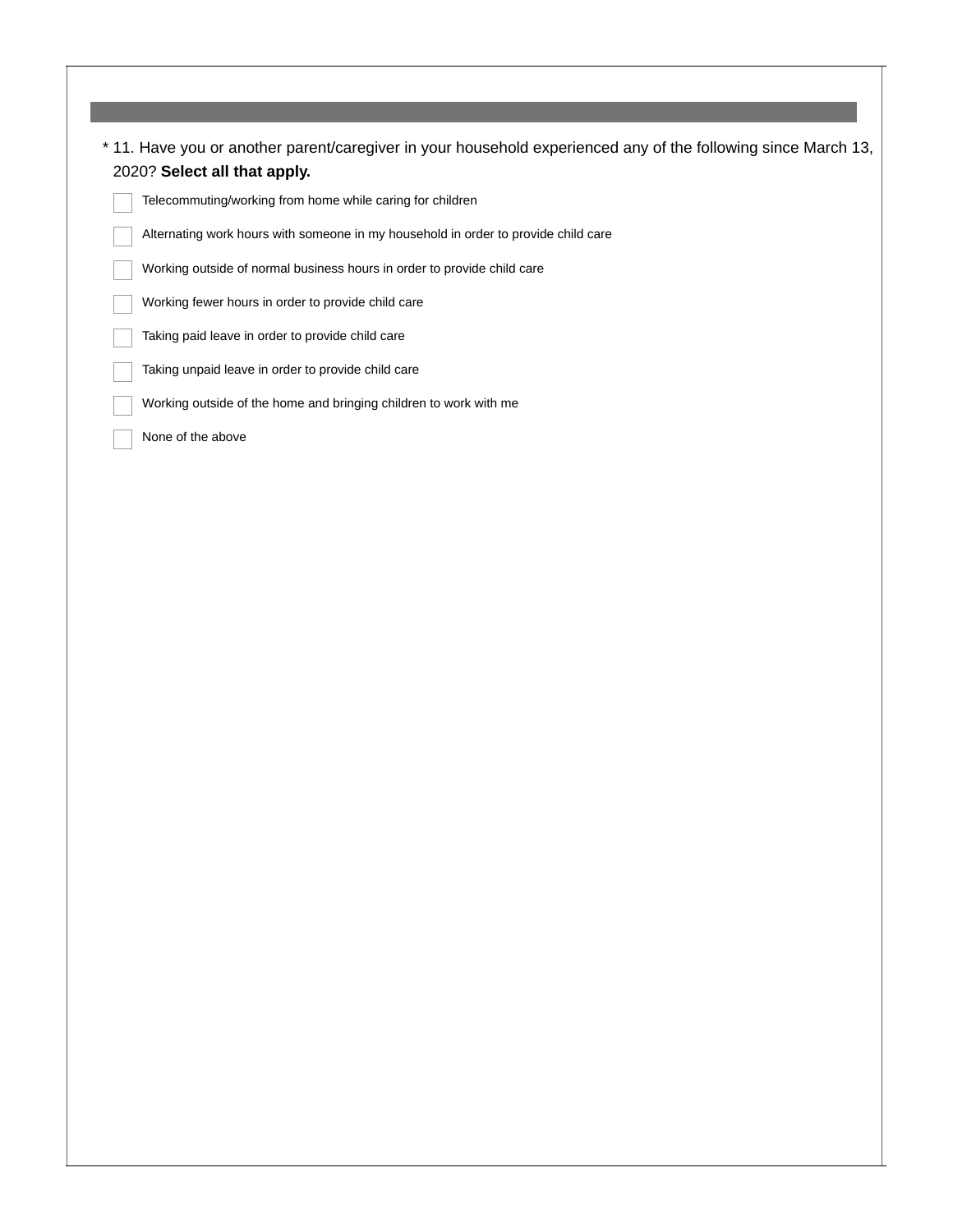| * 11. Have you or another parent/caregiver in your household experienced any of the following since March 13,<br>2020? Select all that apply. |
|-----------------------------------------------------------------------------------------------------------------------------------------------|
| Telecommuting/working from home while caring for children                                                                                     |
| Alternating work hours with someone in my household in order to provide child care                                                            |
| Working outside of normal business hours in order to provide child care                                                                       |
| Working fewer hours in order to provide child care                                                                                            |
| Taking paid leave in order to provide child care                                                                                              |
| Taking unpaid leave in order to provide child care                                                                                            |
| Working outside of the home and bringing children to work with me                                                                             |
| None of the above                                                                                                                             |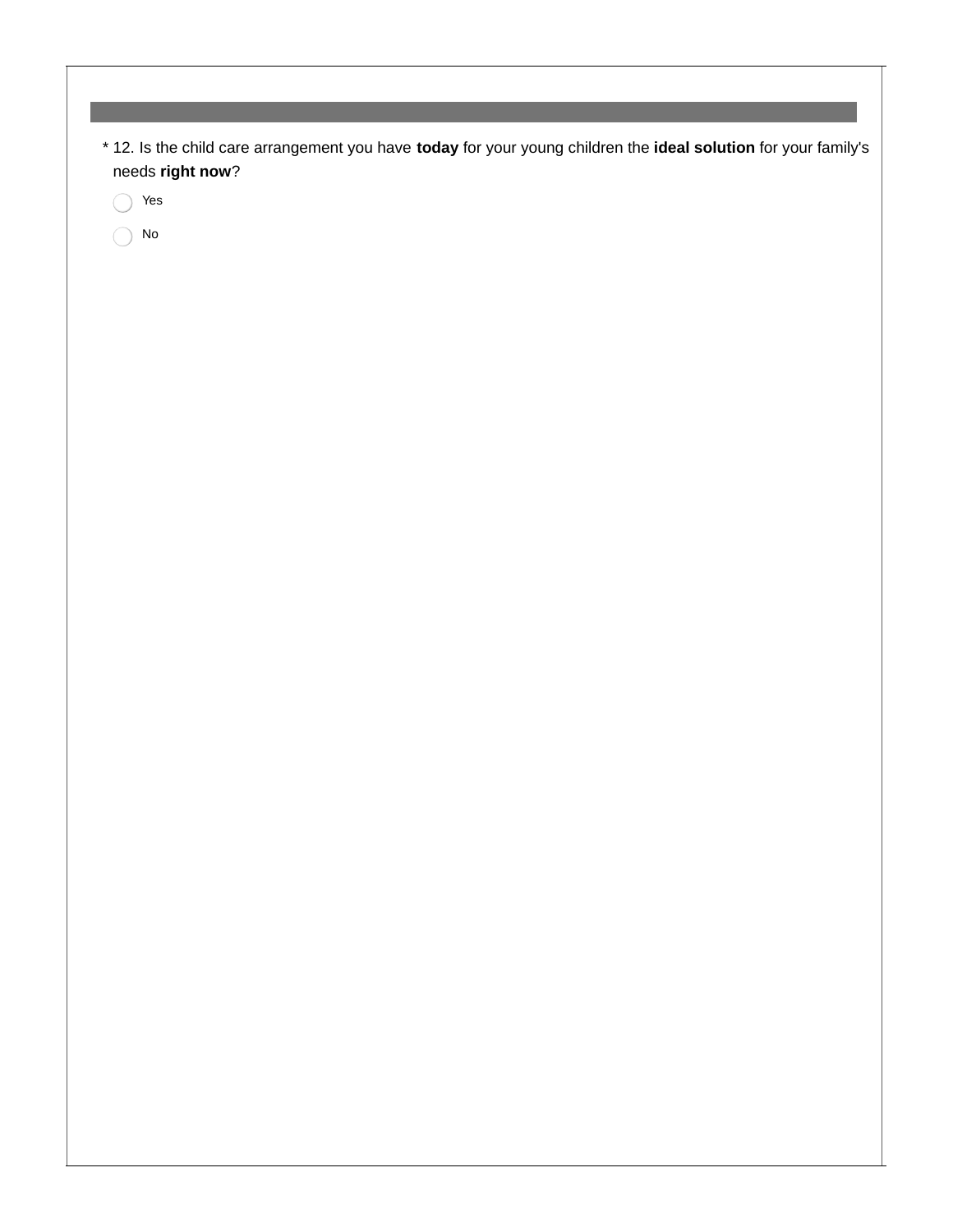| Yes        |  |  |  |
|------------|--|--|--|
|            |  |  |  |
| ${\sf No}$ |  |  |  |
|            |  |  |  |
|            |  |  |  |
|            |  |  |  |
|            |  |  |  |
|            |  |  |  |
|            |  |  |  |
|            |  |  |  |
|            |  |  |  |
|            |  |  |  |
|            |  |  |  |
|            |  |  |  |
|            |  |  |  |
|            |  |  |  |
|            |  |  |  |
|            |  |  |  |
|            |  |  |  |
|            |  |  |  |
|            |  |  |  |
|            |  |  |  |
|            |  |  |  |
|            |  |  |  |
|            |  |  |  |
|            |  |  |  |
|            |  |  |  |
|            |  |  |  |
|            |  |  |  |
|            |  |  |  |
|            |  |  |  |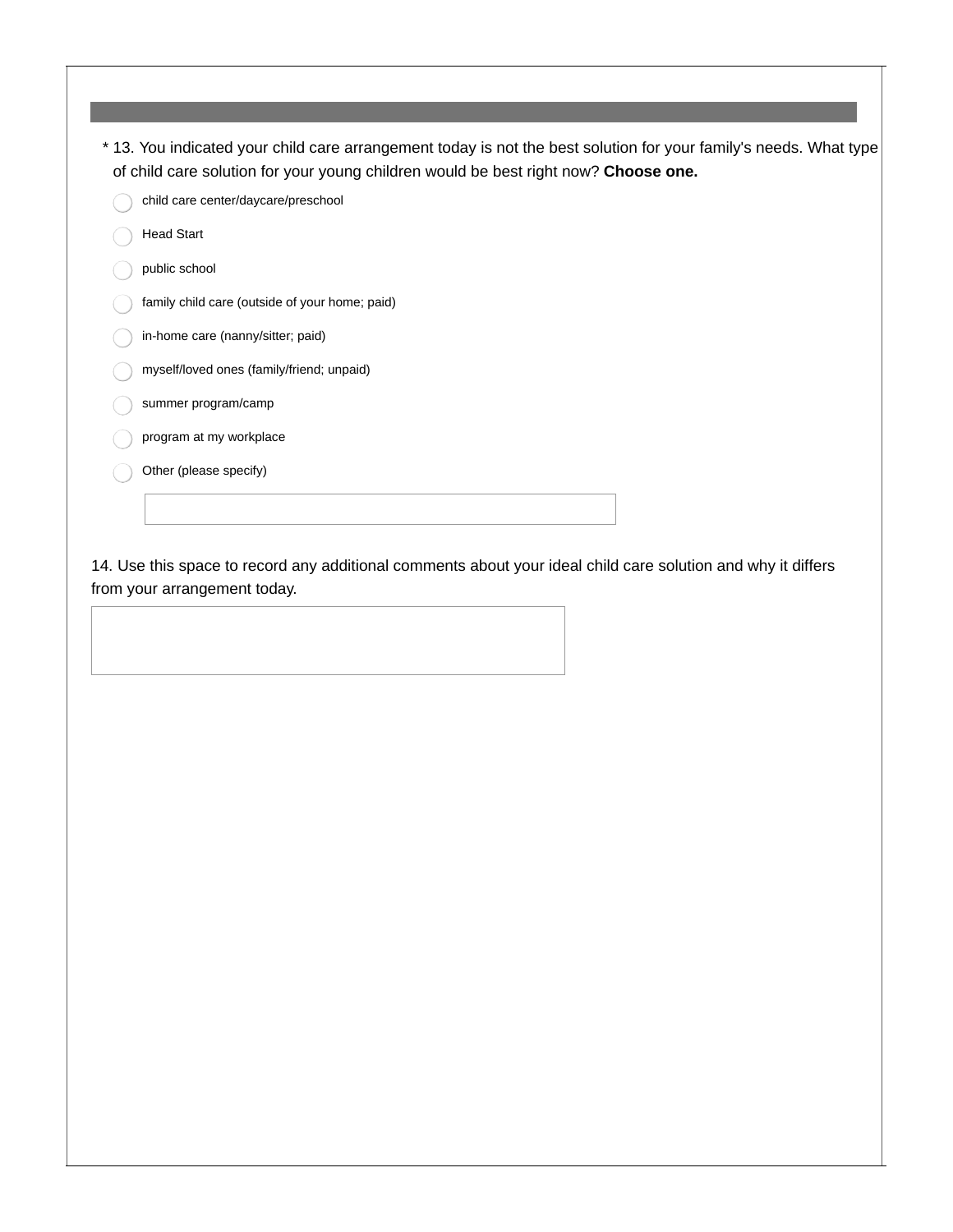13. You indicated your child care arrangement today is not the best solution for your family's needs. What type \* of child care solution for your young children would be best right now? **Choose one.**

| child care center/daycare/preschool |
|-------------------------------------|
|                                     |

- Head Start ∩
- public school
- family child care (outside of your home; paid)
- in-home care (nanny/sitter; paid)
- myself/loved ones (family/friend; unpaid)
- summer program/camp
- program at my workplace
- Other (please specify)

14. Use this space to record any additional comments about your ideal child care solution and why it differs from your arrangement today.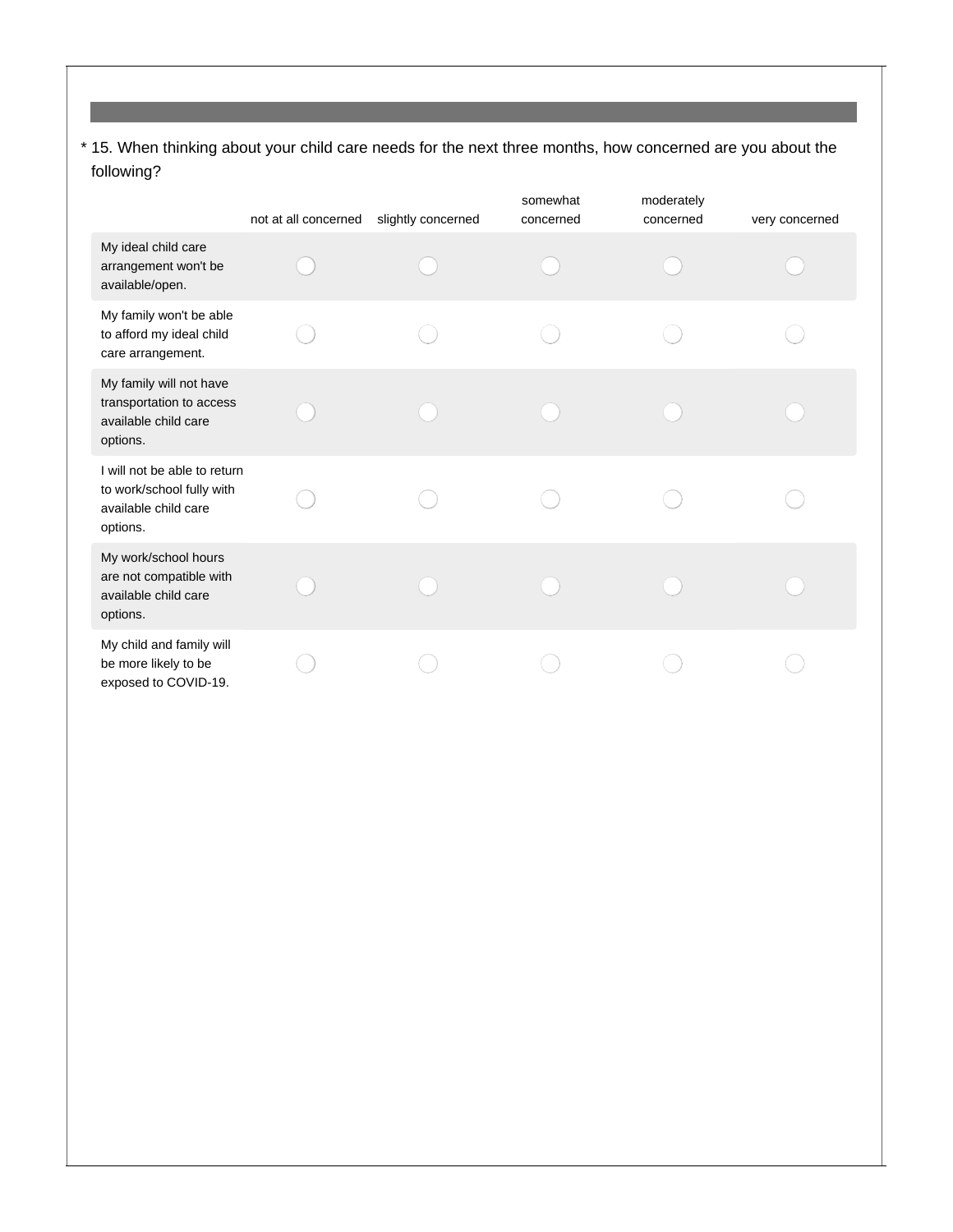15. When thinking about your child care needs for the next three months, how concerned are you about the \*following?

п

|                                                                                               | not at all concerned | slightly concerned | somewhat<br>concerned | moderately<br>concerned | very concerned |
|-----------------------------------------------------------------------------------------------|----------------------|--------------------|-----------------------|-------------------------|----------------|
| My ideal child care<br>arrangement won't be<br>available/open.                                |                      |                    |                       |                         |                |
| My family won't be able<br>to afford my ideal child<br>care arrangement.                      |                      |                    |                       |                         |                |
| My family will not have<br>transportation to access<br>available child care<br>options.       |                      |                    |                       |                         |                |
| I will not be able to return<br>to work/school fully with<br>available child care<br>options. |                      |                    |                       |                         |                |
| My work/school hours<br>are not compatible with<br>available child care<br>options.           |                      |                    |                       |                         |                |
| My child and family will<br>be more likely to be<br>exposed to COVID-19.                      |                      |                    |                       |                         |                |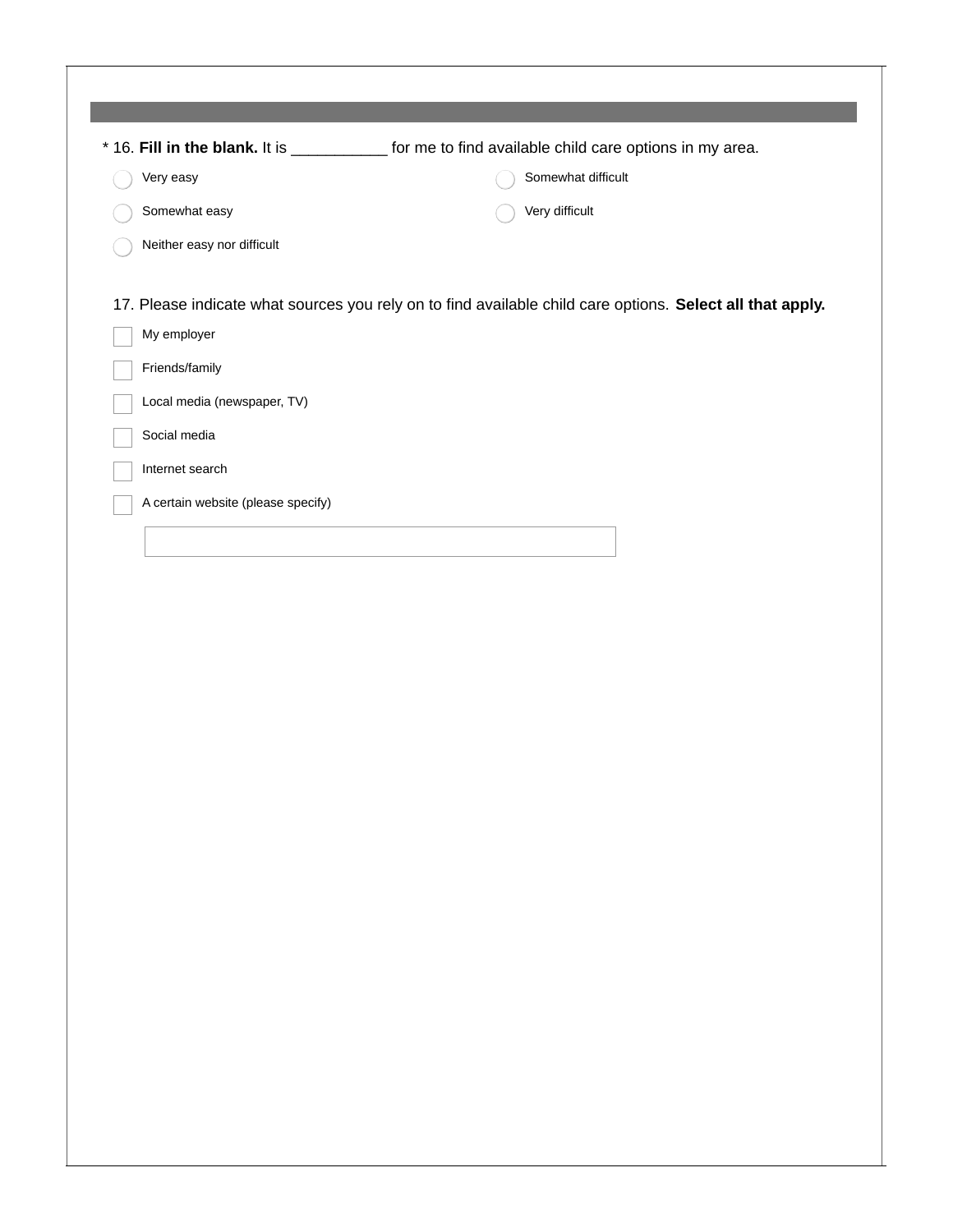|                                    | * 16. Fill in the blank. It is ______________ for me to find available child care options in my area.     |
|------------------------------------|-----------------------------------------------------------------------------------------------------------|
| Very easy                          | Somewhat difficult                                                                                        |
| Somewhat easy                      | Very difficult                                                                                            |
| Neither easy nor difficult         |                                                                                                           |
|                                    |                                                                                                           |
|                                    | 17. Please indicate what sources you rely on to find available child care options. Select all that apply. |
| My employer                        |                                                                                                           |
| Friends/family                     |                                                                                                           |
| Local media (newspaper, TV)        |                                                                                                           |
| Social media                       |                                                                                                           |
| Internet search                    |                                                                                                           |
| A certain website (please specify) |                                                                                                           |
|                                    |                                                                                                           |
|                                    |                                                                                                           |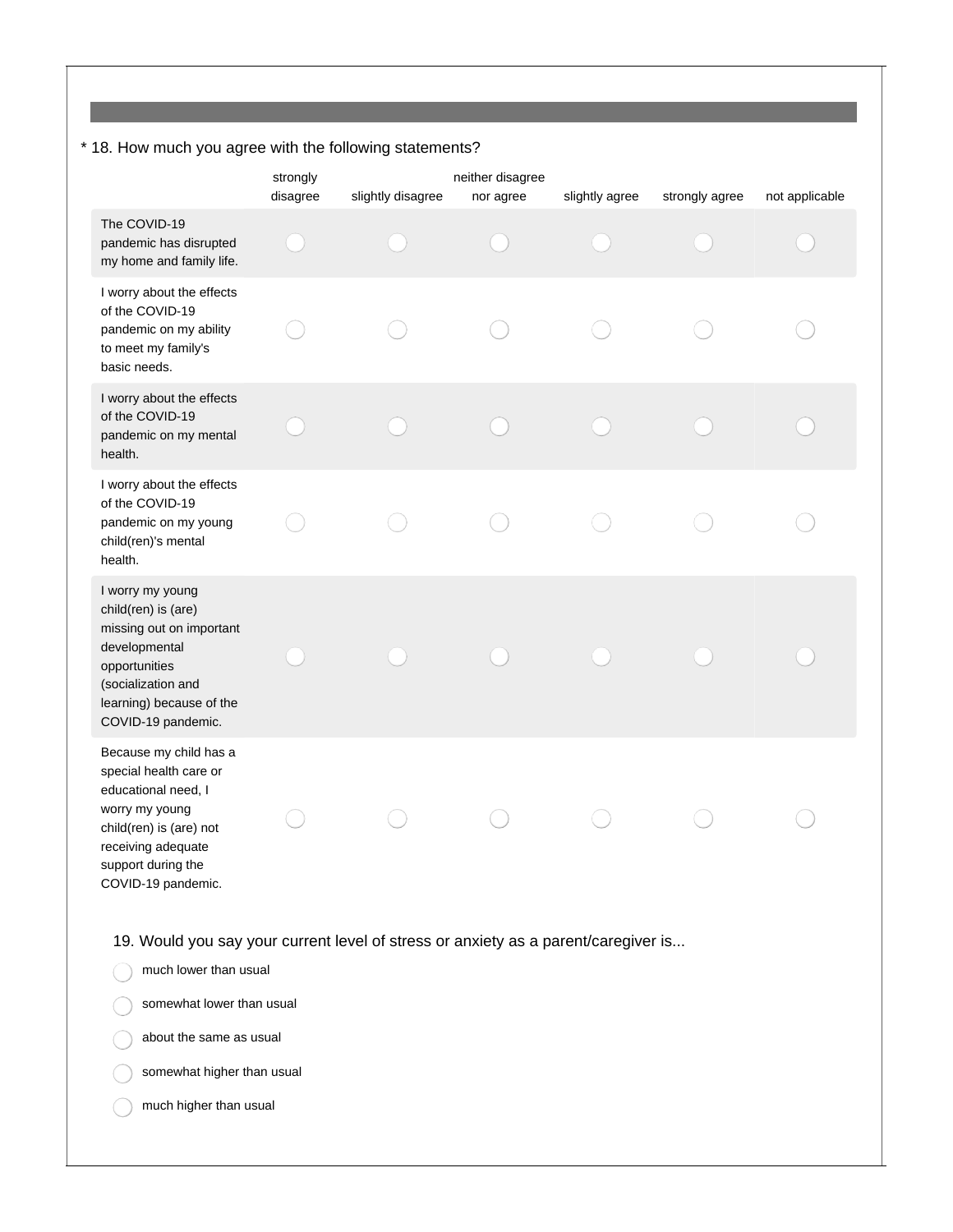## \* 18. How much you agree with the following statements?

|                                                                                                                                                                                                                             | strongly<br>disagree | slightly disagree | neither disagree<br>nor agree | slightly agree | strongly agree | not applicable |
|-----------------------------------------------------------------------------------------------------------------------------------------------------------------------------------------------------------------------------|----------------------|-------------------|-------------------------------|----------------|----------------|----------------|
| The COVID-19<br>pandemic has disrupted<br>my home and family life.                                                                                                                                                          |                      |                   |                               |                |                |                |
| I worry about the effects<br>of the COVID-19<br>pandemic on my ability<br>to meet my family's<br>basic needs.                                                                                                               |                      |                   |                               |                |                |                |
| I worry about the effects<br>of the COVID-19<br>pandemic on my mental<br>health.                                                                                                                                            |                      |                   |                               |                |                |                |
| I worry about the effects<br>of the COVID-19<br>pandemic on my young<br>child(ren)'s mental<br>health.                                                                                                                      |                      |                   |                               |                |                |                |
| I worry my young<br>child(ren) is (are)<br>missing out on important<br>developmental<br>opportunities<br>(socialization and<br>learning) because of the<br>COVID-19 pandemic.                                               |                      |                   |                               |                |                |                |
| Because my child has a<br>special health care or<br>educational need, I<br>worry my young<br>child(ren) is (are) not<br>receiving adequate<br>support during the<br>COVID-19 pandemic.                                      |                      |                   |                               |                |                |                |
| 19. Would you say your current level of stress or anxiety as a parent/caregiver is<br>much lower than usual<br>somewhat lower than usual<br>about the same as usual<br>somewhat higher than usual<br>much higher than usual |                      |                   |                               |                |                |                |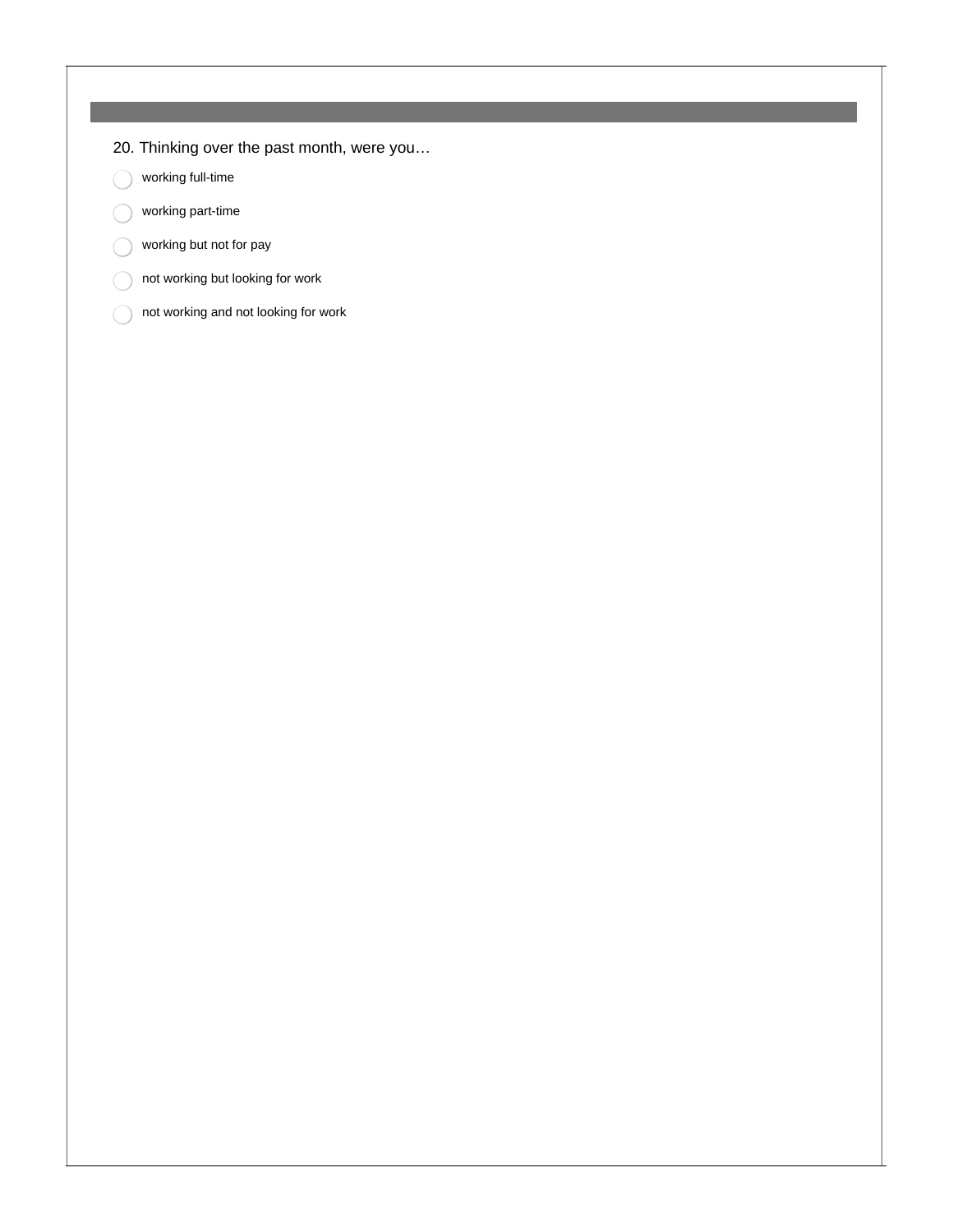- 20. Thinking over the past month, were you…
- working full-time ⌒
- working part-time
- working but not for pay
- not working but looking for work
- not working and not looking for work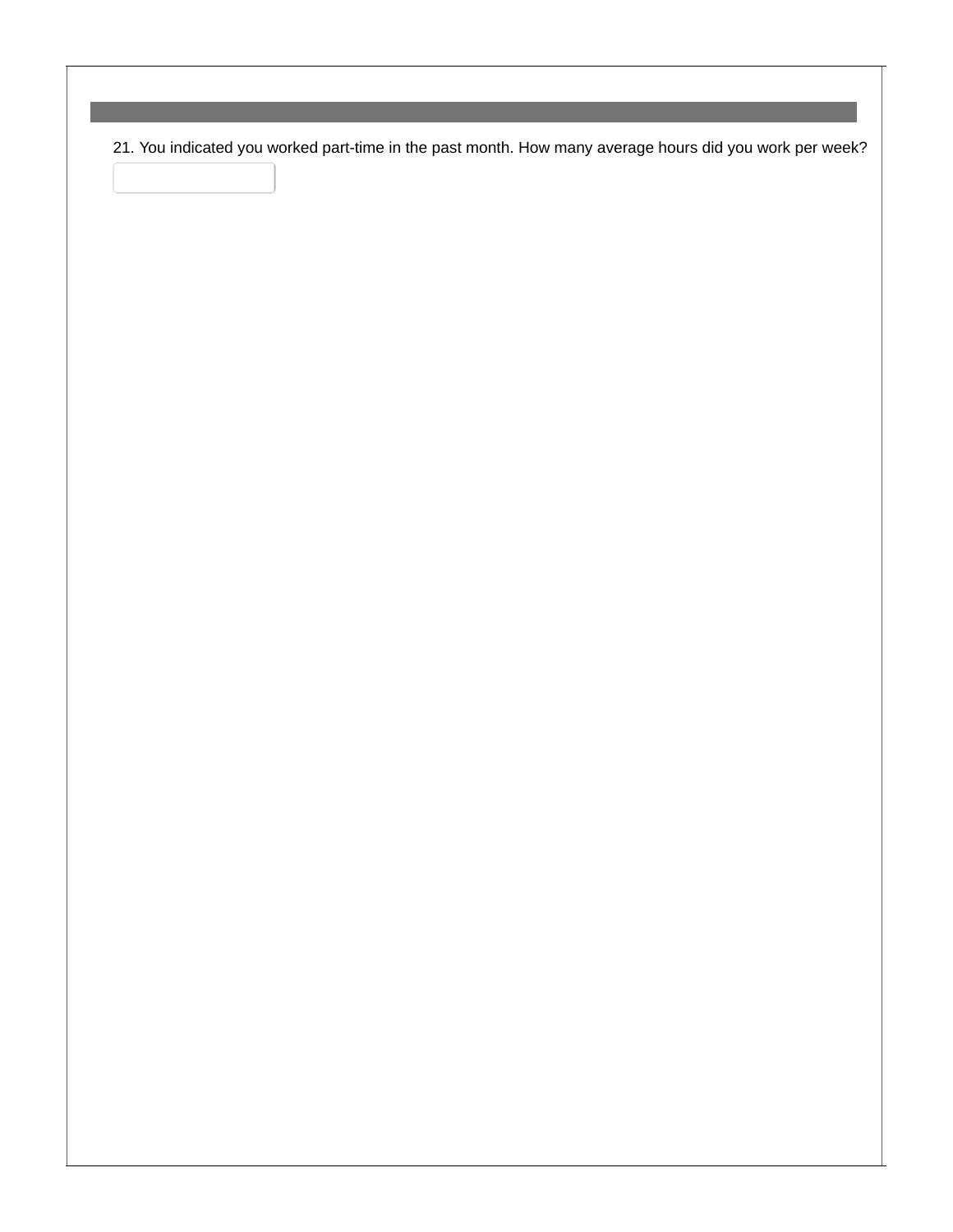21. You indicated you worked part-time in the past month. How many average hours did you work per week?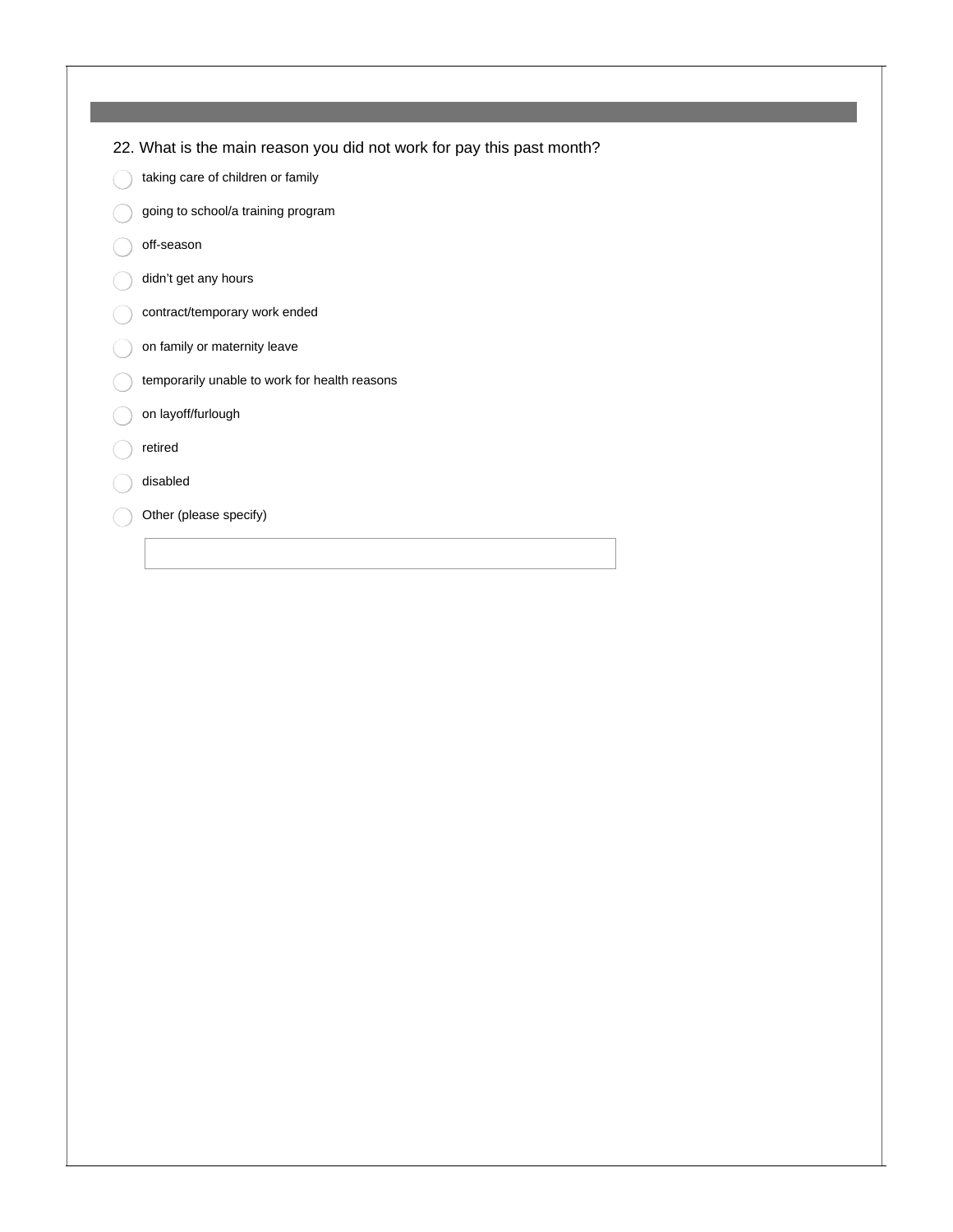| 22. What is the main reason you did not work for pay this past month? |  |  |
|-----------------------------------------------------------------------|--|--|
|-----------------------------------------------------------------------|--|--|

- taking care of children or family
- going to school/a training program
- off-season
- didn't get any hours
- contract/temporary work ended
- on family or maternity leave
- temporarily unable to work for health reasons □
- on layoff/furlough  $\begin{pmatrix} 1 \end{pmatrix}$
- retired
- disabled
- Other (please specify)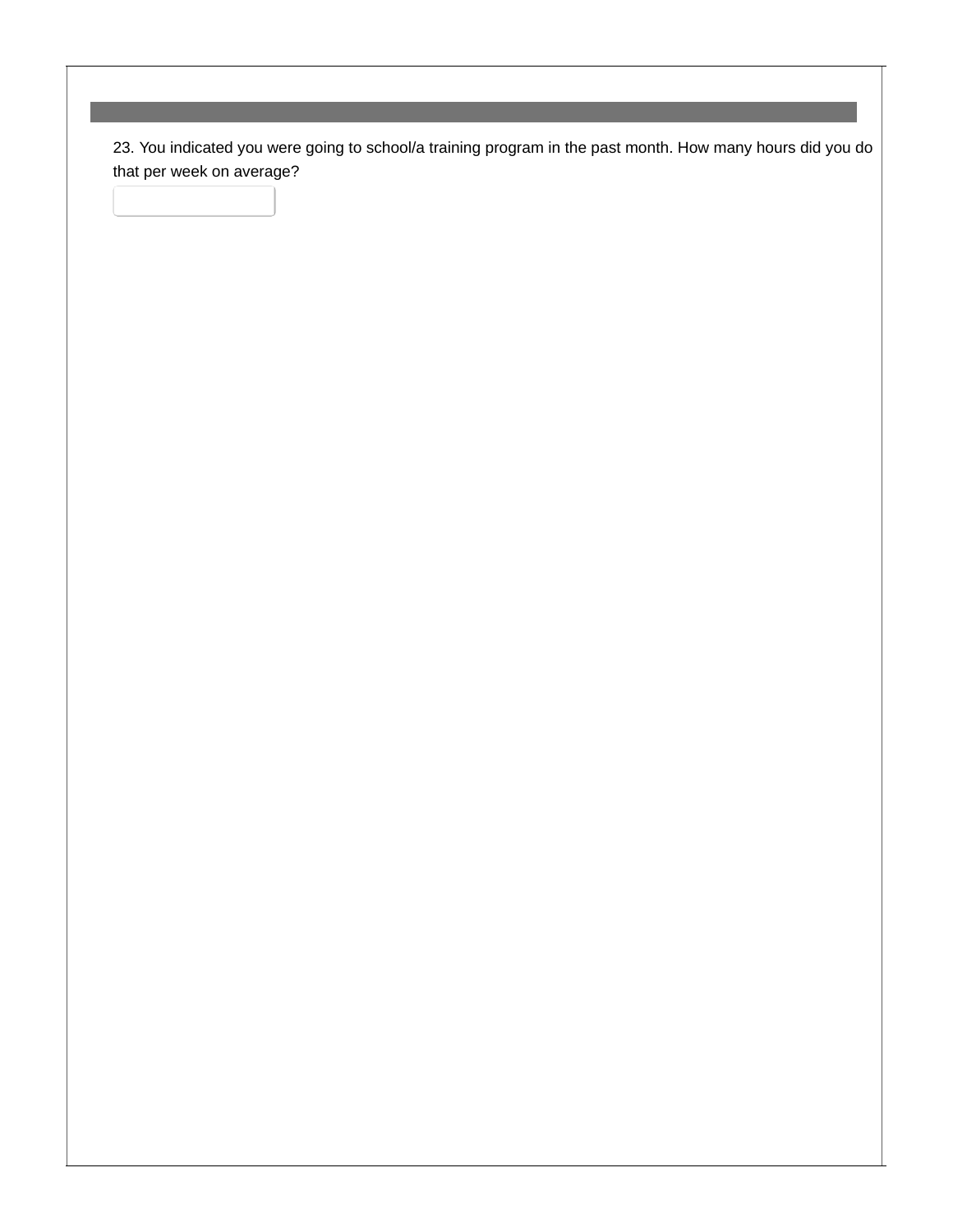23. You indicated you were going to school/a training program in the past month. How many hours did you do that per week on average?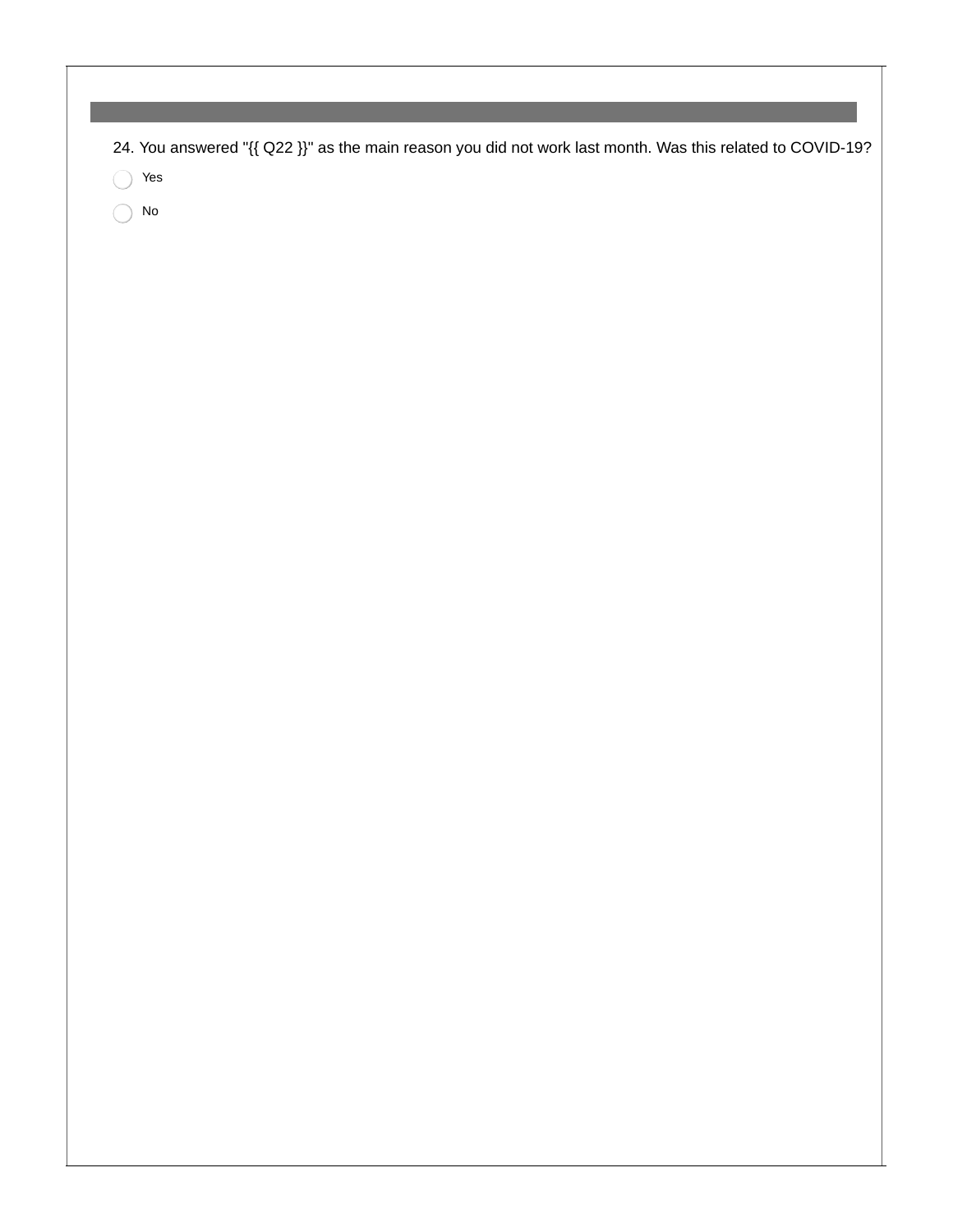| Yes                          |  |  |  |
|------------------------------|--|--|--|
| $\operatorname{\mathsf{No}}$ |  |  |  |
|                              |  |  |  |
|                              |  |  |  |
|                              |  |  |  |
|                              |  |  |  |
|                              |  |  |  |
|                              |  |  |  |
|                              |  |  |  |
|                              |  |  |  |
|                              |  |  |  |
|                              |  |  |  |
|                              |  |  |  |
|                              |  |  |  |
|                              |  |  |  |
|                              |  |  |  |
|                              |  |  |  |
|                              |  |  |  |
|                              |  |  |  |
|                              |  |  |  |
|                              |  |  |  |
|                              |  |  |  |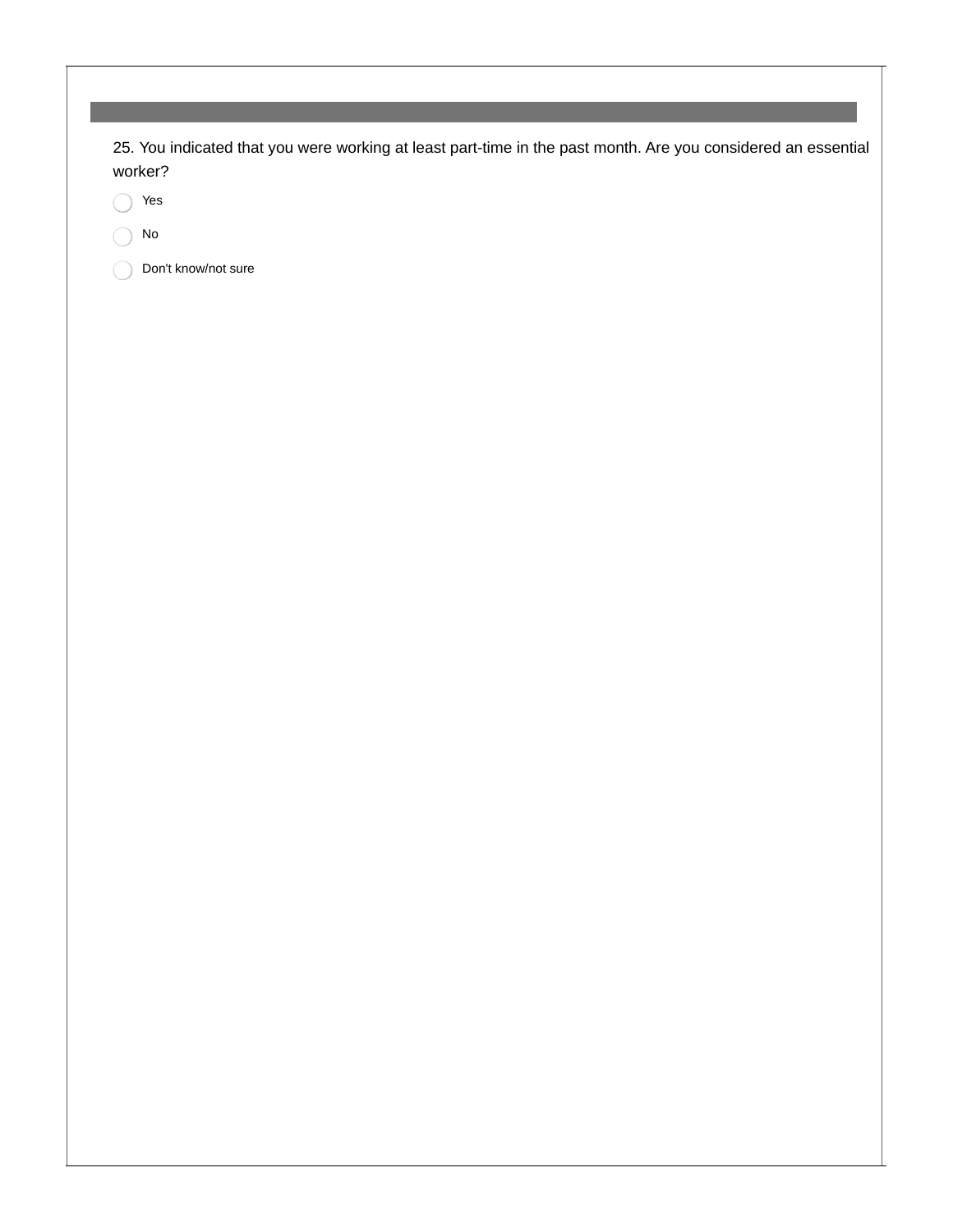25. You indicated that you were working at least part-time in the past month. Are you considered an essential worker?

Yes  $\bigcap$ 

No ◯

Don't know/not sure $\bigcap$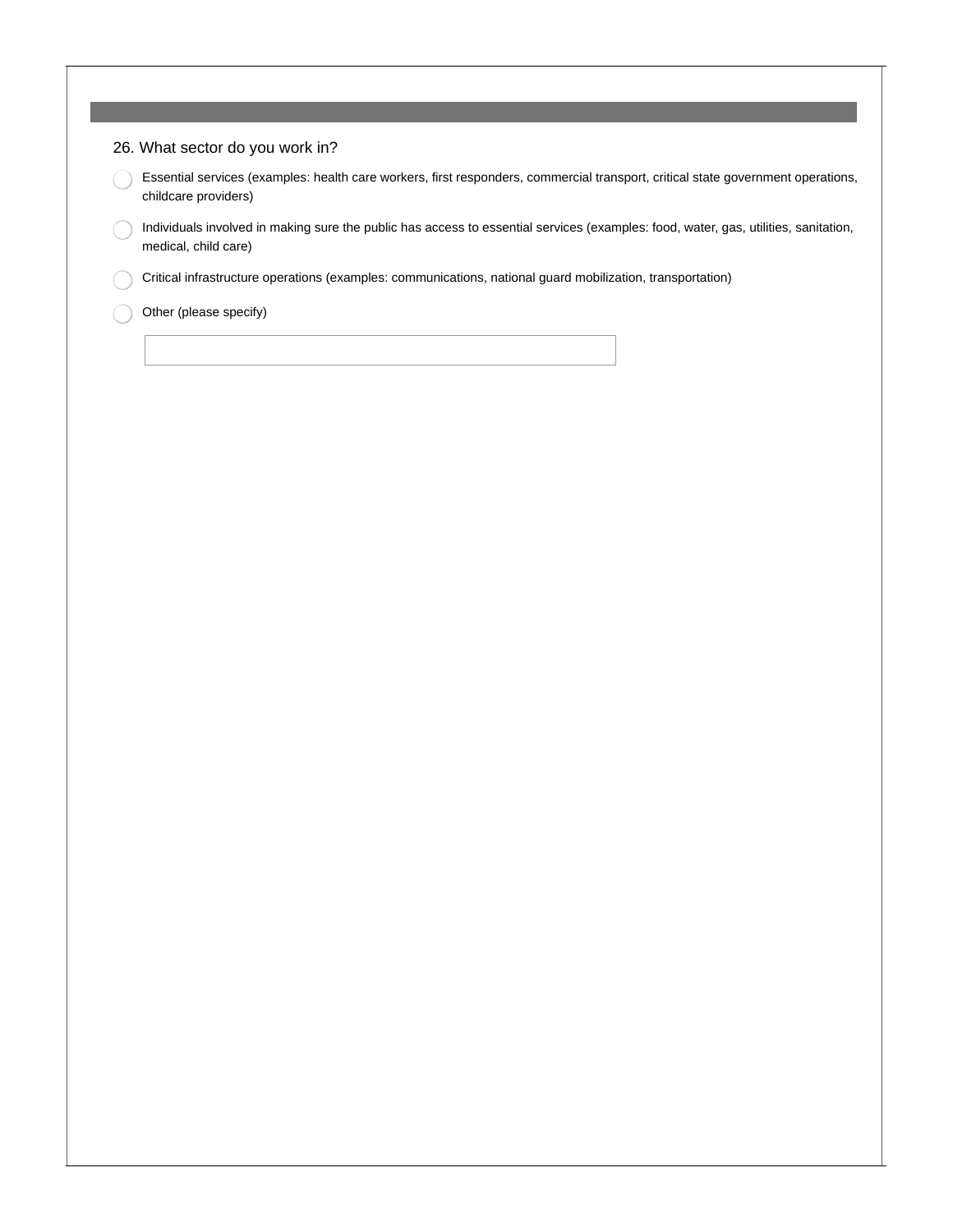## 26. What sector do you work in?

Essential services (examples: health care workers, first responders, commercial transport, critical state government operations, childcare providers)

Individuals involved in making sure the public has access to essential services (examples: food, water, gas, utilities, sanitation, medical, child care)

Critical infrastructure operations (examples: communications, national guard mobilization, transportation)

Other (please specify)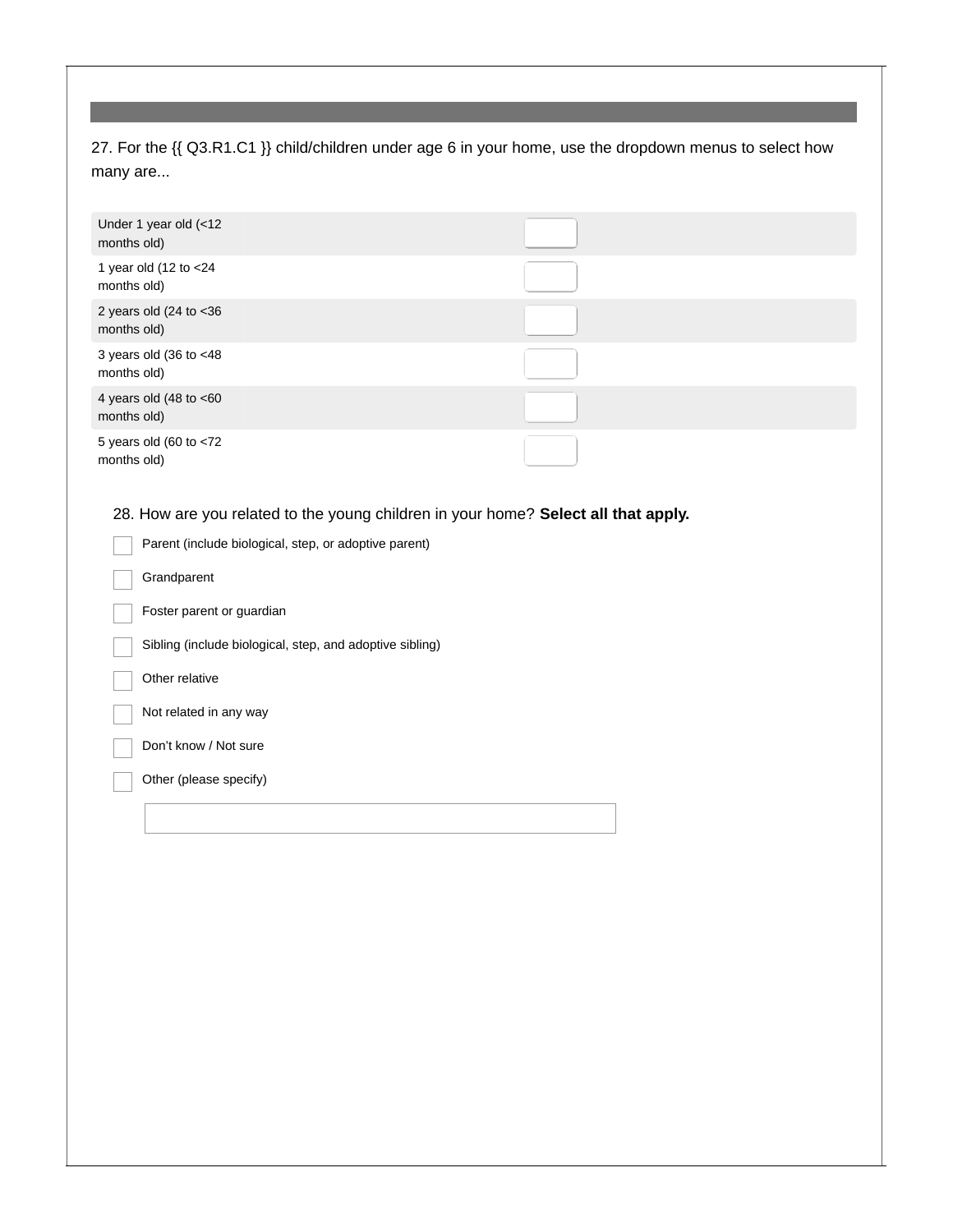27. For the {{ Q3.R1.C1 }} child/children under age 6 in your home, use the dropdown menus to select how many are...

r i

| Under 1 year old (<12<br>months old)                                                                                                    |                                                                                                                                                                                                         |  |  |
|-----------------------------------------------------------------------------------------------------------------------------------------|---------------------------------------------------------------------------------------------------------------------------------------------------------------------------------------------------------|--|--|
| 1 year old (12 to <24<br>months old)                                                                                                    |                                                                                                                                                                                                         |  |  |
| 2 years old (24 to $<$ 36<br>months old)                                                                                                |                                                                                                                                                                                                         |  |  |
| 3 years old (36 to $<$ 48<br>months old)                                                                                                |                                                                                                                                                                                                         |  |  |
| 4 years old (48 to $<$ 60<br>months old)                                                                                                |                                                                                                                                                                                                         |  |  |
| 5 years old (60 to <72<br>months old)                                                                                                   |                                                                                                                                                                                                         |  |  |
| Grandparent<br>Foster parent or guardian<br>Other relative<br>Not related in any way<br>Don't know / Not sure<br>Other (please specify) | 28. How are you related to the young children in your home? Select all that apply.<br>Parent (include biological, step, or adoptive parent)<br>Sibling (include biological, step, and adoptive sibling) |  |  |
|                                                                                                                                         |                                                                                                                                                                                                         |  |  |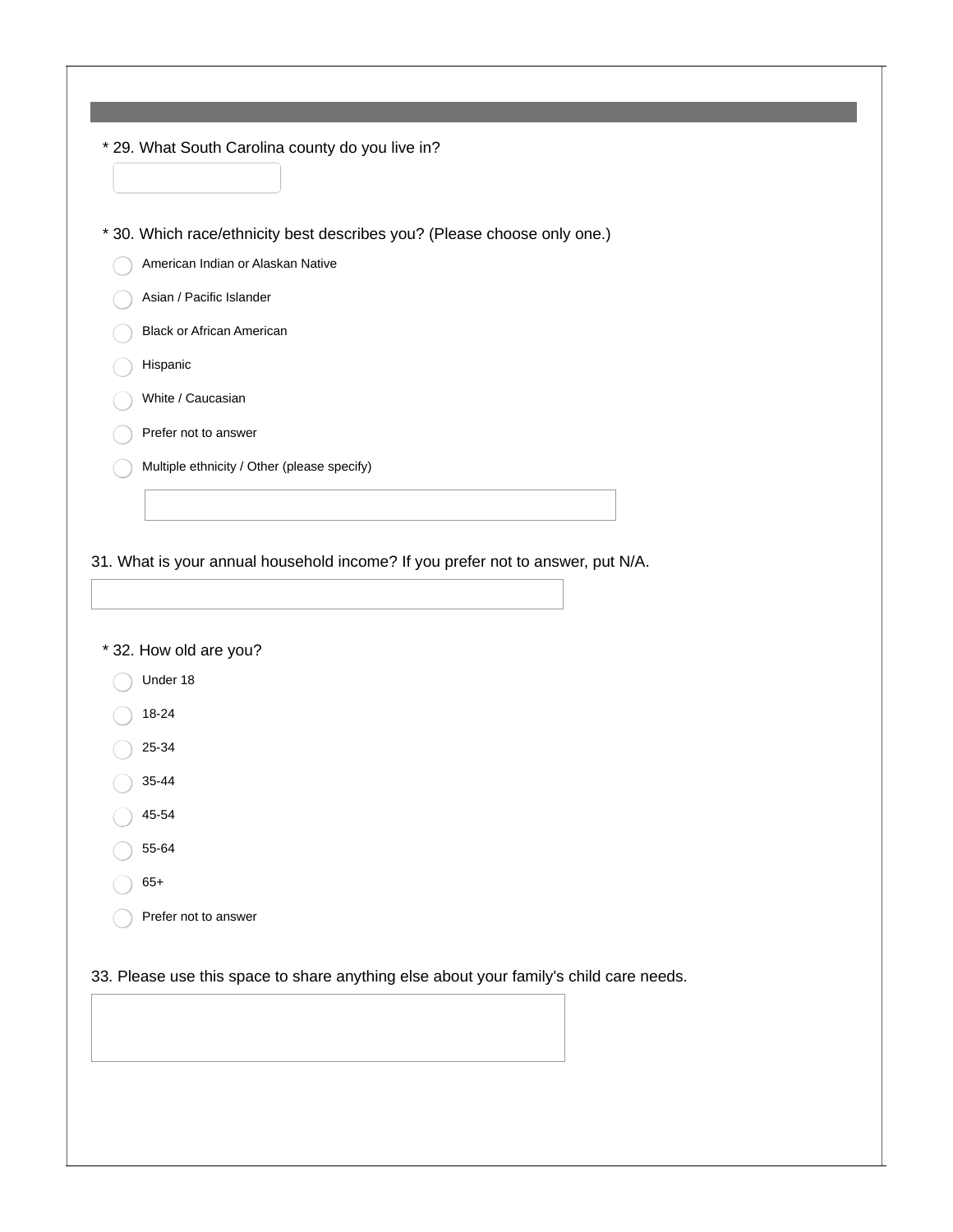| * 29. What South Carolina county do you live in?                                |
|---------------------------------------------------------------------------------|
|                                                                                 |
|                                                                                 |
| * 30. Which race/ethnicity best describes you? (Please choose only one.)        |
| American Indian or Alaskan Native                                               |
| Asian / Pacific Islander                                                        |
| <b>Black or African American</b>                                                |
| Hispanic                                                                        |
| White / Caucasian                                                               |
| Prefer not to answer                                                            |
| Multiple ethnicity / Other (please specify)                                     |
|                                                                                 |
|                                                                                 |
| 31. What is your annual household income? If you prefer not to answer, put N/A. |
|                                                                                 |
|                                                                                 |
| * 32. How old are you?                                                          |
| Under 18                                                                        |
| 18-24                                                                           |
| 25-34                                                                           |
| $35 - 44$                                                                       |
| 45-54                                                                           |
| 55-64                                                                           |
| $65+$                                                                           |

Prefer not to answer

33. Please use this space to share anything else about your family's child care needs.